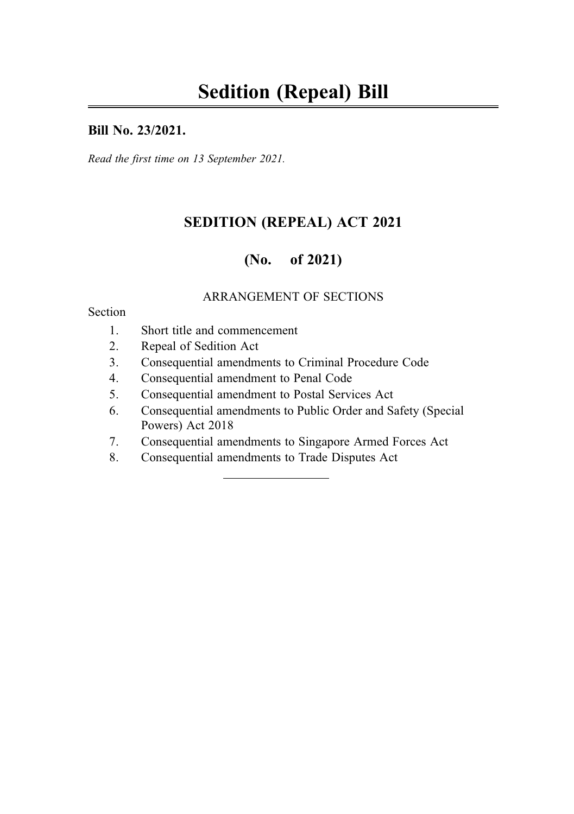#### Bill No. 23/2021.

Read the first time on 13 September 2021.

## SEDITION (REPEAL) ACT 2021

## (No. of 2021)

#### ARRANGEMENT OF SECTIONS

#### Section

- 1. Short title and commencement
- 2. Repeal of Sedition Act
- 3. Consequential amendments to Criminal Procedure Code
- 4. Consequential amendment to Penal Code
- 5. Consequential amendment to Postal Services Act
- 6. Consequential amendments to Public Order and Safety (Special Powers) Act 2018
- 7. Consequential amendments to Singapore Armed Forces Act
- 8. Consequential amendments to Trade Disputes Act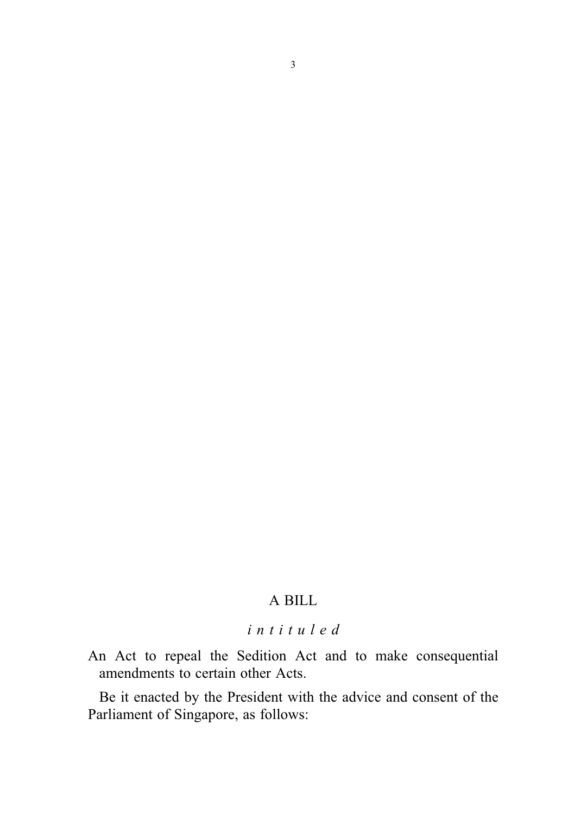## A BILL

## intituled

An Act to repeal the Sedition Act and to make consequential amendments to certain other Acts.

Be it enacted by the President with the advice and consent of the Parliament of Singapore, as follows: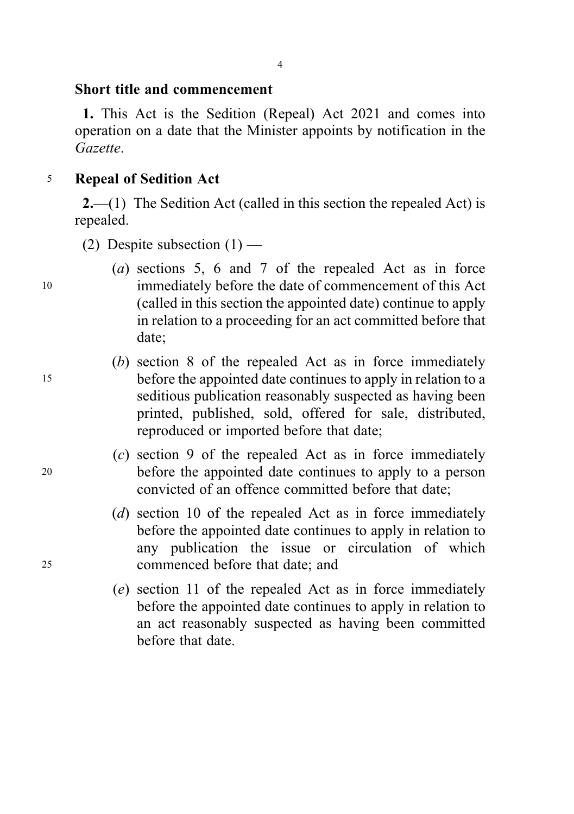#### Short title and commencement

1. This Act is the Sedition (Repeal) Act 2021 and comes into operation on a date that the Minister appoints by notification in the Gazette.

### <sup>5</sup> Repeal of Sedition Act

2.—(1) The Sedition Act (called in this section the repealed Act) is repealed.

- (2) Despite subsection  $(1)$  —
- (a) sections 5, 6 and 7 of the repealed Act as in force <sup>10</sup> immediately before the date of commencement of this Act (called in this section the appointed date) continue to apply in relation to a proceeding for an act committed before that date;
- (b) section 8 of the repealed Act as in force immediately <sup>15</sup> before the appointed date continues to apply in relation to a seditious publication reasonably suspected as having been printed, published, sold, offered for sale, distributed, reproduced or imported before that date;
- (c) section 9 of the repealed Act as in force immediately <sup>20</sup> before the appointed date continues to apply to a person convicted of an offence committed before that date;
- (d) section 10 of the repealed Act as in force immediately before the appointed date continues to apply in relation to any publication the issue or circulation of which <sup>25</sup> commenced before that date; and
	- (e) section 11 of the repealed Act as in force immediately before the appointed date continues to apply in relation to an act reasonably suspected as having been committed before that date.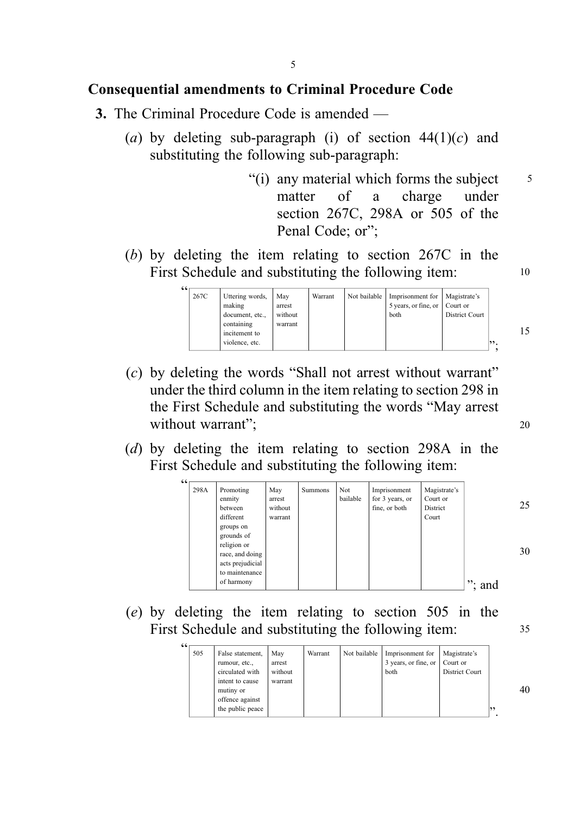### Consequential amendments to Criminal Procedure Code

- 3. The Criminal Procedure Code is amended
	- (a) by deleting sub-paragraph (i) of section  $44(1)(c)$  and substituting the following sub-paragraph:
		- "(i) any material which forms the subject  $\frac{5}{5}$ matter of a charge under section 267C, 298A or 505 of the Penal Code; or";
	- (b) by deleting the item relating to section 267C in the First Schedule and substituting the following item: 10



- (c) by deleting the words "Shall not arrest without warrant" under the third column in the item relating to section 298 in the First Schedule and substituting the words "May arrest without warrant";
- (d) by deleting the item relating to section 298A in the First Schedule and substituting the following item:

| 66 |      |                                                                                    |                                     |                |                 |                                                  |                                               |              |    |
|----|------|------------------------------------------------------------------------------------|-------------------------------------|----------------|-----------------|--------------------------------------------------|-----------------------------------------------|--------------|----|
|    | 298A | Promoting<br>enmity<br>between<br>different<br>groups on                           | May<br>arrest<br>without<br>warrant | <b>Summons</b> | Not<br>bailable | Imprisonment<br>for 3 years, or<br>fine, or both | Magistrate's<br>Court or<br>District<br>Court |              | 25 |
|    |      | grounds of<br>religion or<br>race, and doing<br>acts prejudicial<br>to maintenance |                                     |                |                 |                                                  |                                               |              | 30 |
|    |      | of harmony                                                                         |                                     |                |                 |                                                  |                                               | $\cdots$ and |    |

(e) by deleting the item relating to section 505 in the First Schedule and substituting the following item:

| 66 |     |                                                                         |                                     |         |              |                                                  |                                                   |
|----|-----|-------------------------------------------------------------------------|-------------------------------------|---------|--------------|--------------------------------------------------|---------------------------------------------------|
|    | 505 | False statement,<br>rumour, etc.,<br>circulated with<br>intent to cause | May<br>arrest<br>without<br>warrant | Warrant | Not bailable | Imprisonment for<br>3 years, or fine, or<br>both | Magistrate's<br>Court or<br><b>District Court</b> |
|    |     | mutiny or<br>offence against<br>the public peace                        |                                     |         |              |                                                  |                                                   |

15

20

35

40

".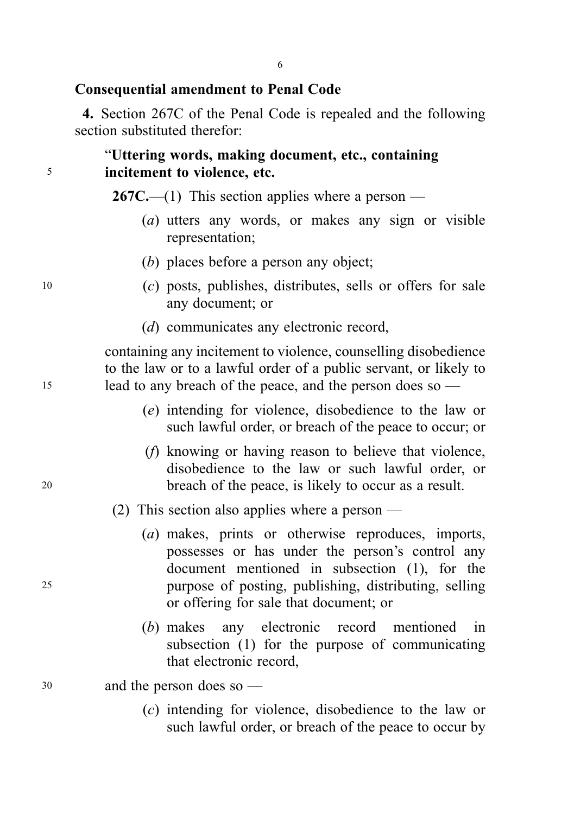## Consequential amendment to Penal Code

4. Section 267C of the Penal Code is repealed and the following section substituted therefor:

### "Uttering words, making document, etc., containing <sup>5</sup> incitement to violence, etc.

**267C.**—(1) This section applies where a person —

- (a) utters any words, or makes any sign or visible representation;
- (b) places before a person any object;
- <sup>10</sup> (c) posts, publishes, distributes, sells or offers for sale any document; or
	- (d) communicates any electronic record,

containing any incitement to violence, counselling disobedience to the law or to a lawful order of a public servant, or likely to <sup>15</sup> lead to any breach of the peace, and the person does so —

- (e) intending for violence, disobedience to the law or such lawful order, or breach of the peace to occur; or
- (f) knowing or having reason to believe that violence, disobedience to the law or such lawful order, or <sup>20</sup> breach of the peace, is likely to occur as a result.
	- (2) This section also applies where a person —
- (a) makes, prints or otherwise reproduces, imports, possesses or has under the person's control any document mentioned in subsection (1), for the <sup>25</sup> purpose of posting, publishing, distributing, selling or offering for sale that document; or
	- (b) makes any electronic record mentioned in subsection (1) for the purpose of communicating that electronic record,
- <sup>30</sup> and the person does so
	- (c) intending for violence, disobedience to the law or such lawful order, or breach of the peace to occur by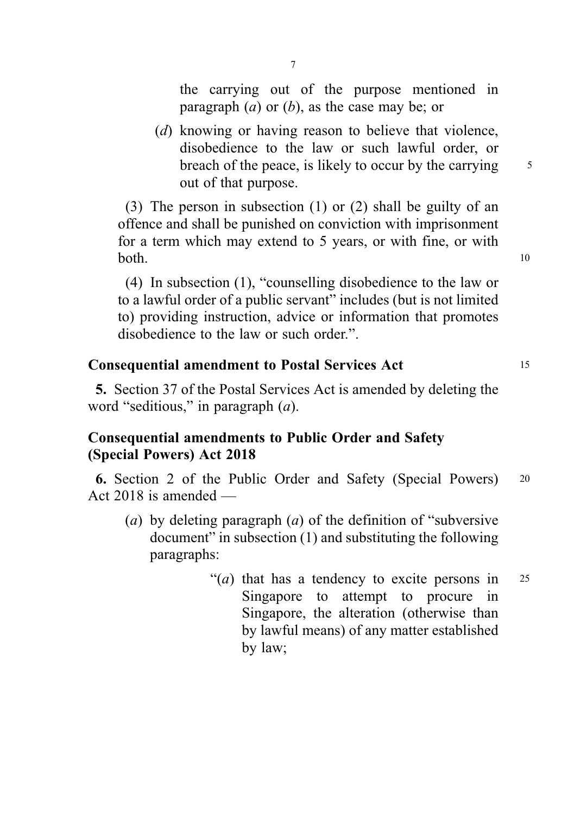the carrying out of the purpose mentioned in paragraph  $(a)$  or  $(b)$ , as the case may be; or

(d) knowing or having reason to believe that violence, disobedience to the law or such lawful order, or breach of the peace, is likely to occur by the carrying  $\frac{5}{5}$ out of that purpose.

(3) The person in subsection (1) or (2) shall be guilty of an offence and shall be punished on conviction with imprisonment for a term which may extend to 5 years, or with fine, or with  $both.$  10

(4) In subsection (1), "counselling disobedience to the law or to a lawful order of a public servant" includes (but is not limited to) providing instruction, advice or information that promotes disobedience to the law or such order.".

### Consequential amendment to Postal Services Act <sup>15</sup>

5. Section 37 of the Postal Services Act is amended by deleting the word "seditious," in paragraph (a).

## Consequential amendments to Public Order and Safety (Special Powers) Act 2018

6. Section 2 of the Public Order and Safety (Special Powers) <sup>20</sup> Act 2018 is amended —

- (a) by deleting paragraph (a) of the definition of "subversive" document" in subsection (1) and substituting the following paragraphs:
	- "(*a*) that has a tendency to excite persons in  $25$ Singapore to attempt to procure in Singapore, the alteration (otherwise than by lawful means) of any matter established by law;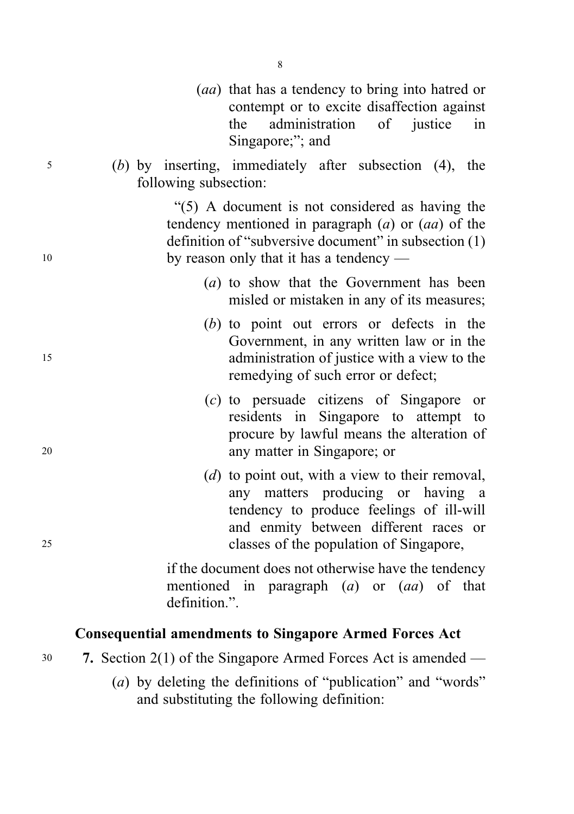|    | (aa) that has a tendency to bring into hatred or<br>contempt or to excite disaffection against<br>administration of justice<br>the<br>in<br>Singapore;"; and                                                           |
|----|------------------------------------------------------------------------------------------------------------------------------------------------------------------------------------------------------------------------|
| 5  | $(b)$ by inserting, immediately after subsection $(4)$ , the<br>following subsection:                                                                                                                                  |
| 10 | "(5) A document is not considered as having the<br>tendency mentioned in paragraph $(a)$ or $(aa)$ of the<br>definition of "subversive document" in subsection (1)<br>by reason only that it has a tendency $-$        |
|    | (a) to show that the Government has been<br>misled or mistaken in any of its measures;                                                                                                                                 |
| 15 | (b) to point out errors or defects in the<br>Government, in any written law or in the<br>administration of justice with a view to the<br>remedying of such error or defect;                                            |
| 20 | $(c)$ to persuade citizens of Singapore or<br>residents in Singapore to attempt to<br>procure by lawful means the alteration of<br>any matter in Singapore; or                                                         |
| 25 | $(d)$ to point out, with a view to their removal,<br>any matters producing or having a<br>tendency to produce feelings of ill-will<br>and enmity between different races or<br>classes of the population of Singapore, |
|    | if the document does not otherwise have the tendency<br>mentioned in paragraph $(a)$ or $(aa)$ of that<br>definition.".                                                                                                |

# Consequential amendments to Singapore Armed Forces Act

- <sup>30</sup> 7. Section 2(1) of the Singapore Armed Forces Act is amended
	- (a) by deleting the definitions of "publication" and "words" and substituting the following definition: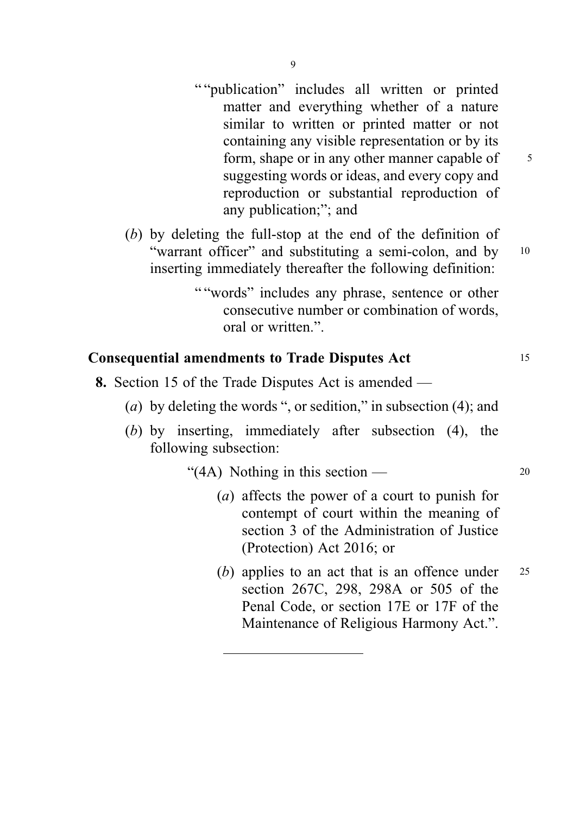- "" publication" includes all written or printed matter and everything whether of a nature similar to written or printed matter or not containing any visible representation or by its form, shape or in any other manner capable of 5 suggesting words or ideas, and every copy and reproduction or substantial reproduction of any publication;"; and
- (b) by deleting the full-stop at the end of the definition of "warrant officer" and substituting a semi-colon, and by 10 inserting immediately thereafter the following definition:
	- " "words" includes any phrase, sentence or other consecutive number or combination of words, oral or written.".

### Consequential amendments to Trade Disputes Act <sup>15</sup>

- 8. Section 15 of the Trade Disputes Act is amended
	- (a) by deleting the words ", or sedition," in subsection (4); and
	- (b) by inserting, immediately after subsection (4), the following subsection:

"(4A) Nothing in this section —  $20$ 

- (a) affects the power of a court to punish for contempt of court within the meaning of section 3 of the Administration of Justice (Protection) Act 2016; or
- (b) applies to an act that is an offence under  $25$ section 267C, 298, 298A or 505 of the Penal Code, or section 17E or 17F of the Maintenance of Religious Harmony Act.".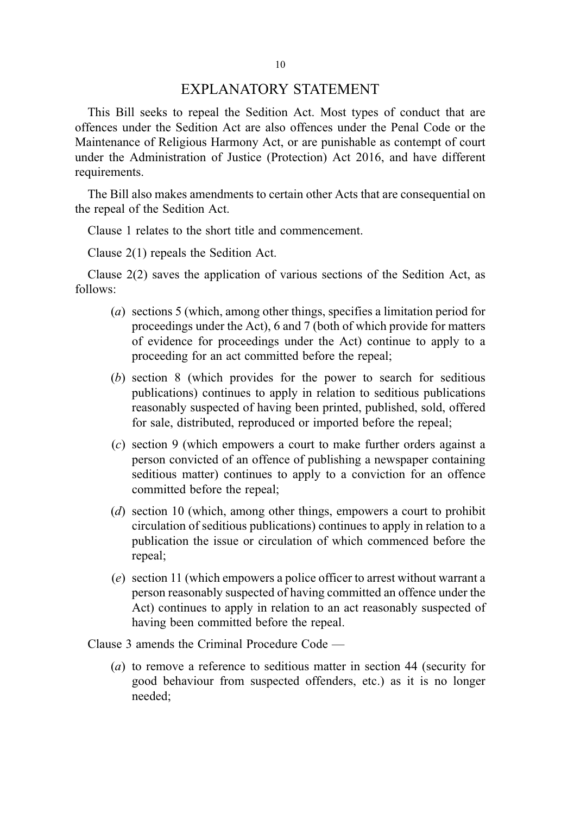#### EXPLANATORY STATEMENT

This Bill seeks to repeal the Sedition Act. Most types of conduct that are offences under the Sedition Act are also offences under the Penal Code or the Maintenance of Religious Harmony Act, or are punishable as contempt of court under the Administration of Justice (Protection) Act 2016, and have different requirements.

The Bill also makes amendments to certain other Acts that are consequential on the repeal of the Sedition Act.

Clause 1 relates to the short title and commencement.

Clause 2(1) repeals the Sedition Act.

Clause 2(2) saves the application of various sections of the Sedition Act, as follows:

- (a) sections 5 (which, among other things, specifies a limitation period for proceedings under the Act), 6 and 7 (both of which provide for matters of evidence for proceedings under the Act) continue to apply to a proceeding for an act committed before the repeal;
- (b) section 8 (which provides for the power to search for seditious publications) continues to apply in relation to seditious publications reasonably suspected of having been printed, published, sold, offered for sale, distributed, reproduced or imported before the repeal;
- (c) section 9 (which empowers a court to make further orders against a person convicted of an offence of publishing a newspaper containing seditious matter) continues to apply to a conviction for an offence committed before the repeal;
- (d) section 10 (which, among other things, empowers a court to prohibit circulation of seditious publications) continues to apply in relation to a publication the issue or circulation of which commenced before the repeal;
- (e) section 11 (which empowers a police officer to arrest without warrant a person reasonably suspected of having committed an offence under the Act) continues to apply in relation to an act reasonably suspected of having been committed before the repeal.

Clause 3 amends the Criminal Procedure Code —

(a) to remove a reference to seditious matter in section 44 (security for good behaviour from suspected offenders, etc.) as it is no longer needed;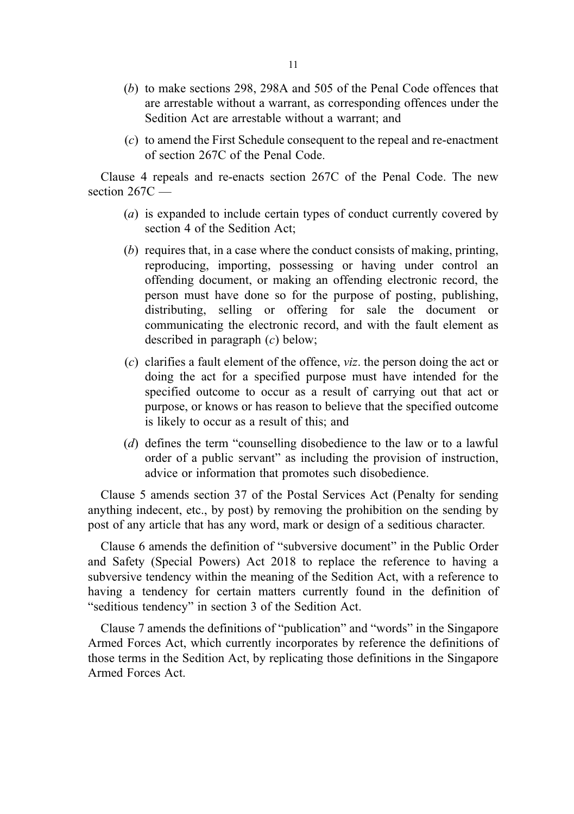- (b) to make sections 298, 298A and 505 of the Penal Code offences that are arrestable without a warrant, as corresponding offences under the Sedition Act are arrestable without a warrant; and
- (c) to amend the First Schedule consequent to the repeal and re-enactment of section 267C of the Penal Code.

Clause 4 repeals and re-enacts section 267C of the Penal Code. The new section  $267C -$ 

- (a) is expanded to include certain types of conduct currently covered by section 4 of the Sedition Act;
- (b) requires that, in a case where the conduct consists of making, printing, reproducing, importing, possessing or having under control an offending document, or making an offending electronic record, the person must have done so for the purpose of posting, publishing, distributing, selling or offering for sale the document or communicating the electronic record, and with the fault element as described in paragraph  $(c)$  below:
- (c) clarifies a fault element of the offence, viz. the person doing the act or doing the act for a specified purpose must have intended for the specified outcome to occur as a result of carrying out that act or purpose, or knows or has reason to believe that the specified outcome is likely to occur as a result of this; and
- (d) defines the term "counselling disobedience to the law or to a lawful order of a public servant" as including the provision of instruction, advice or information that promotes such disobedience.

Clause 5 amends section 37 of the Postal Services Act (Penalty for sending anything indecent, etc., by post) by removing the prohibition on the sending by post of any article that has any word, mark or design of a seditious character.

Clause 6 amends the definition of "subversive document" in the Public Order and Safety (Special Powers) Act 2018 to replace the reference to having a subversive tendency within the meaning of the Sedition Act, with a reference to having a tendency for certain matters currently found in the definition of "seditious tendency" in section 3 of the Sedition Act.

Clause 7 amends the definitions of "publication" and "words" in the Singapore Armed Forces Act, which currently incorporates by reference the definitions of those terms in the Sedition Act, by replicating those definitions in the Singapore Armed Forces Act.